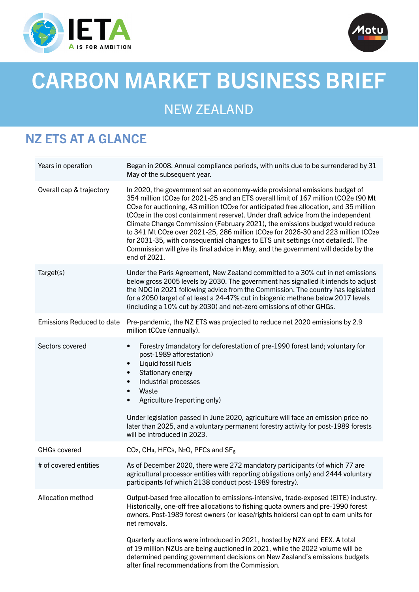



# CARBON MARKET BUSINESS BRIEF

## NEW ZEALAND

## NZ ETS AT A GLANCE

| Years in operation               | Began in 2008. Annual compliance periods, with units due to be surrendered by 31<br>May of the subsequent year.                                                                                                                                                                                                                                                                                                                                                                                                                                                                                                                                                                                                                                                                                                      |
|----------------------------------|----------------------------------------------------------------------------------------------------------------------------------------------------------------------------------------------------------------------------------------------------------------------------------------------------------------------------------------------------------------------------------------------------------------------------------------------------------------------------------------------------------------------------------------------------------------------------------------------------------------------------------------------------------------------------------------------------------------------------------------------------------------------------------------------------------------------|
| Overall cap & trajectory         | In 2020, the government set an economy-wide provisional emissions budget of<br>354 million tCO <sub>2</sub> e for 2021-25 and an ETS overall limit of 167 million tCO <sub>2</sub> e (90 Mt<br>CO <sub>2</sub> e for auctioning, 43 million tCO <sub>2</sub> e for anticipated free allocation, and 35 million<br>tCO <sub>2</sub> e in the cost containment reserve). Under draft advice from the independent<br>Climate Change Commission (February 2021), the emissions budget would reduce<br>to 341 Mt CO <sub>2</sub> e over 2021-25, 286 million tCO <sub>2</sub> e for 2026-30 and 223 million tCO <sub>2</sub> e<br>for 2031-35, with consequential changes to ETS unit settings (not detailed). The<br>Commission will give its final advice in May, and the government will decide by the<br>end of 2021. |
| Target(s)                        | Under the Paris Agreement, New Zealand committed to a 30% cut in net emissions<br>below gross 2005 levels by 2030. The government has signalled it intends to adjust<br>the NDC in 2021 following advice from the Commission. The country has legislated<br>for a 2050 target of at least a 24-47% cut in biogenic methane below 2017 levels<br>(including a 10% cut by 2030) and net-zero emissions of other GHGs.                                                                                                                                                                                                                                                                                                                                                                                                  |
| <b>Emissions Reduced to date</b> | Pre-pandemic, the NZ ETS was projected to reduce net 2020 emissions by 2.9<br>million tCO <sub>2</sub> e (annually).                                                                                                                                                                                                                                                                                                                                                                                                                                                                                                                                                                                                                                                                                                 |
| Sectors covered                  | Forestry (mandatory for deforestation of pre-1990 forest land; voluntary for<br>$\bullet$<br>post-1989 afforestation)<br>Liquid fossil fuels<br>$\bullet$<br>Stationary energy<br>$\bullet$<br>Industrial processes<br>$\bullet$<br>Waste<br>$\bullet$<br>Agriculture (reporting only)<br>$\bullet$<br>Under legislation passed in June 2020, agriculture will face an emission price no<br>later than 2025, and a voluntary permanent forestry activity for post-1989 forests<br>will be introduced in 2023.                                                                                                                                                                                                                                                                                                        |
| <b>GHGs covered</b>              | CO <sub>2</sub> , CH <sub>4</sub> , HFCs, N <sub>2</sub> O, PFCs and SF <sub>6</sub>                                                                                                                                                                                                                                                                                                                                                                                                                                                                                                                                                                                                                                                                                                                                 |
| # of covered entities            | As of December 2020, there were 272 mandatory participants (of which 77 are<br>agricultural processor entities with reporting obligations only) and 2444 voluntary<br>participants (of which 2138 conduct post-1989 forestry).                                                                                                                                                                                                                                                                                                                                                                                                                                                                                                                                                                                       |
| Allocation method                | Output-based free allocation to emissions-intensive, trade-exposed (EITE) industry.<br>Historically, one-off free allocations to fishing quota owners and pre-1990 forest<br>owners. Post-1989 forest owners (or lease/rights holders) can opt to earn units for<br>net removals.<br>Quarterly auctions were introduced in 2021, hosted by NZX and EEX. A total<br>of 19 million NZUs are being auctioned in 2021, while the 2022 volume will be<br>determined pending government decisions on New Zealand's emissions budgets<br>after final recommendations from the Commission.                                                                                                                                                                                                                                   |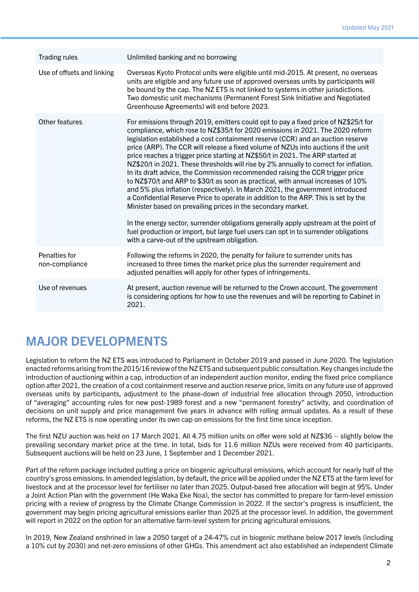| Unlimited banking and no borrowing                                                                                                                                                                                                                                                                                                                                                                                                                                                                                                                                                                                                                                                                                                                                                                                                                                                                                                                                                                                                                                                                                                                                    |
|-----------------------------------------------------------------------------------------------------------------------------------------------------------------------------------------------------------------------------------------------------------------------------------------------------------------------------------------------------------------------------------------------------------------------------------------------------------------------------------------------------------------------------------------------------------------------------------------------------------------------------------------------------------------------------------------------------------------------------------------------------------------------------------------------------------------------------------------------------------------------------------------------------------------------------------------------------------------------------------------------------------------------------------------------------------------------------------------------------------------------------------------------------------------------|
| Overseas Kyoto Protocol units were eligible until mid-2015. At present, no overseas<br>units are eligible and any future use of approved overseas units by participants will<br>be bound by the cap. The NZ ETS is not linked to systems in other jurisdictions.<br>Two domestic unit mechanisms (Permanent Forest Sink Initiative and Negotiated<br>Greenhouse Agreements) will end before 2023.                                                                                                                                                                                                                                                                                                                                                                                                                                                                                                                                                                                                                                                                                                                                                                     |
| For emissions through 2019, emitters could opt to pay a fixed price of NZ\$25/t for<br>compliance, which rose to NZ\$35/t for 2020 emissions in 2021. The 2020 reform<br>legislation established a cost containment reserve (CCR) and an auction reserve<br>price (ARP). The CCR will release a fixed volume of NZUs into auctions if the unit<br>price reaches a trigger price starting at NZ\$50/t in 2021. The ARP started at<br>NZ\$20/t in 2021. These thresholds will rise by 2% annually to correct for inflation.<br>In its draft advice, the Commission recommended raising the CCR trigger price<br>to NZ\$70/t and ARP to \$30/t as soon as practical, with annual increases of 10%<br>and 5% plus inflation (respectively). In March 2021, the government introduced<br>a Confidential Reserve Price to operate in addition to the ARP. This is set by the<br>Minister based on prevailing prices in the secondary market.<br>In the energy sector, surrender obligations generally apply upstream at the point of<br>fuel production or import, but large fuel users can opt in to surrender obligations<br>with a carve-out of the upstream obligation. |
| Following the reforms in 2020, the penalty for failure to surrender units has<br>increased to three times the market price plus the surrender requirement and<br>adjusted penalties will apply for other types of infringements.                                                                                                                                                                                                                                                                                                                                                                                                                                                                                                                                                                                                                                                                                                                                                                                                                                                                                                                                      |
| At present, auction revenue will be returned to the Crown account. The government<br>is considering options for how to use the revenues and will be reporting to Cabinet in<br>2021.                                                                                                                                                                                                                                                                                                                                                                                                                                                                                                                                                                                                                                                                                                                                                                                                                                                                                                                                                                                  |
|                                                                                                                                                                                                                                                                                                                                                                                                                                                                                                                                                                                                                                                                                                                                                                                                                                                                                                                                                                                                                                                                                                                                                                       |

## MAJOR DEVELOPMENTS

Legislation to reform the NZ ETS was introduced to Parliament in October 2019 and passed in June 2020. The legislation enacted reforms arising from the 2015/16 review of the NZ ETS and subsequent public consultation. Key changes include the introduction of auctioning within a cap, introduction of an independent auction monitor, ending the fixed price compliance option after 2021, the creation of a cost containment reserve and auction reserve price, limits on any future use of approved overseas units by participants, adjustment to the phase-down of industrial free allocation through 2050, introduction of "averaging" accounting rules for new post-1989 forest and a new "permanent forestry" activity, and coordination of decisions on unit supply and price management five years in advance with rolling annual updates. As a result of these reforms, the NZ ETS is now operating under its own cap on emissions for the first time since inception.

The first NZU auction was held on 17 March 2021. All 4.75 million units on offer were sold at NZ\$36 – slightly below the prevailing secondary market price at the time. In total, bids for 11.6 million NZUs were received from 40 participants. Subsequent auctions will be held on 23 June, 1 September and 1 December 2021.

Part of the reform package included putting a price on biogenic agricultural emissions, which account for nearly half of the country's gross emissions. In amended legislation, by default, the price will be applied under the NZ ETS at the farm level for livestock and at the processor level for fertiliser no later than 2025. Output-based free allocation will begin at 95%. Under a Joint Action Plan with the government (He Waka Eke Noa), the sector has committed to prepare for farm-level emission pricing with a review of progress by the Climate Change Commission in 2022. If the sector's progress is insufficient, the government may begin pricing agricultural emissions earlier than 2025 at the processor level. In addition, the government will report in 2022 on the option for an alternative farm-level system for pricing agricultural emissions.

In 2019, New Zealand enshrined in law a 2050 target of a 24-47% cut in biogenic methane below 2017 levels (including a 10% cut by 2030) and net-zero emissions of other GHGs. This amendment act also established an independent Climate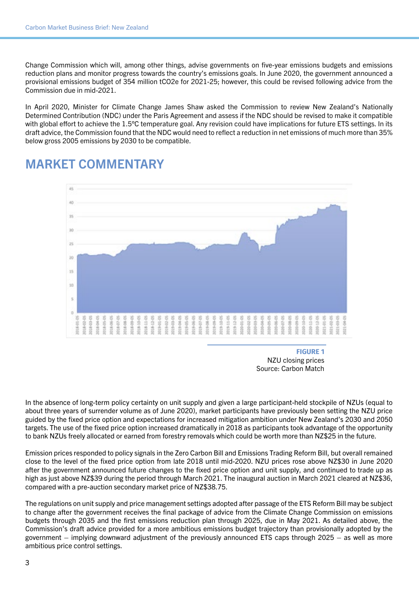Change Commission which will, among other things, advise governments on five-year emissions budgets and emissions reduction plans and monitor progress towards the country's emissions goals. In June 2020, the government announced a provisional emissions budget of 354 million tCO2e for 2021-25; however, this could be revised following advice from the Commission due in mid-2021.

In April 2020, Minister for Climate Change James Shaw asked the Commission to review New Zealand's Nationally Determined Contribution (NDC) under the Paris Agreement and assess if the NDC should be revised to make it compatible with global effort to achieve the 1.5°C temperature goal. Any revision could have implications for future ETS settings. In its draft advice, the Commission found that the NDC would need to reflect a reduction in net emissions of much more than 35% below gross 2005 emissions by 2030 to be compatible.



#### MARKET COMMENTARY

**FIGURE 1** NZU closing prices Source: Carbon Match

In the absence of long-term policy certainty on unit supply and given a large participant-held stockpile of NZUs (equal to about three years of surrender volume as of June 2020), market participants have previously been setting the NZU price guided by the fixed price option and expectations for increased mitigation ambition under New Zealand's 2030 and 2050 targets. The use of the fixed price option increased dramatically in 2018 as participants took advantage of the opportunity to bank NZUs freely allocated or earned from forestry removals which could be worth more than NZ\$25 in the future.

Emission prices responded to policy signals in the Zero Carbon Bill and Emissions Trading Reform Bill, but overall remained close to the level of the fixed price option from late 2018 until mid-2020. NZU prices rose above NZ\$30 in June 2020 after the government announced future changes to the fixed price option and unit supply, and continued to trade up as high as just above NZ\$39 during the period through March 2021. The inaugural auction in March 2021 cleared at NZ\$36, compared with a pre-auction secondary market price of NZ\$38.75.

The regulations on unit supply and price management settings adopted after passage of the ETS Reform Bill may be subject to change after the government receives the final package of advice from the Climate Change Commission on emissions budgets through 2035 and the first emissions reduction plan through 2025, due in May 2021. As detailed above, the Commission's draft advice provided for a more ambitious emissions budget trajectory than provisionally adopted by the government – implying downward adjustment of the previously announced ETS caps through 2025 – as well as more ambitious price control settings.